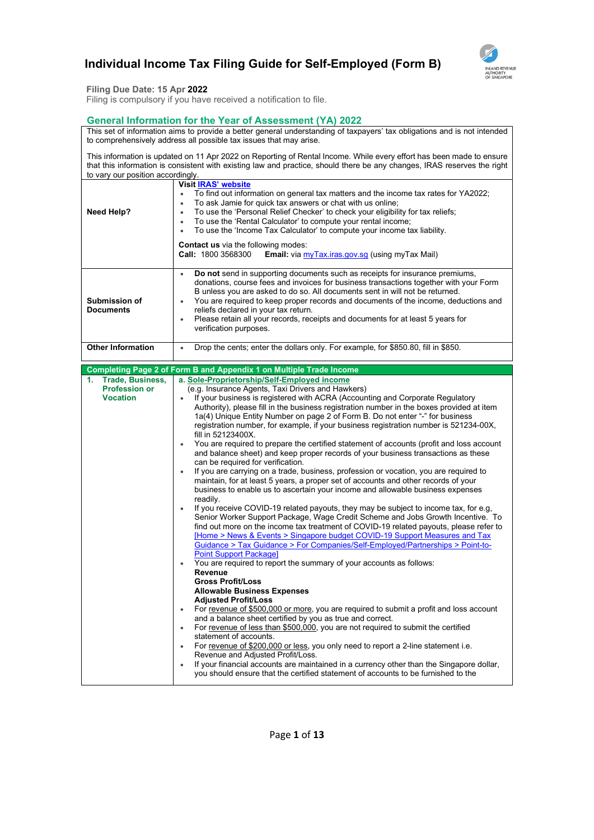## Individual Income Tax Filing Guide for Self-Employed (Form B)



Filing Due Date: 15 Apr 2022

Filing is compulsory if you have received a notification to file.

## General Information for the Year of Assessment (YA) 2022

This set of information aims to provide a better general understanding of taxpayers' tax obligations and is not intended to comprehensively address all possible tax issues that may arise.

This information is updated on 11 Apr 2022 on Reporting of Rental Income. While every effort has been made to ensure that this information is consistent with existing law and practice, should there be any changes, IRAS reserves the right to vary our position accordingly.

| to vary our position accordingly.                                        |                                                                                                                                                                                                                                                                                                                                                                                                                                                                                                                                                                                                                                                                                                                                                                                                                                                                                                                                                                                                                                                                                                                                                                                                                                                                                                                                                                                                                                                                                                                                                                                                                                                                                                                                                                                                                    |
|--------------------------------------------------------------------------|--------------------------------------------------------------------------------------------------------------------------------------------------------------------------------------------------------------------------------------------------------------------------------------------------------------------------------------------------------------------------------------------------------------------------------------------------------------------------------------------------------------------------------------------------------------------------------------------------------------------------------------------------------------------------------------------------------------------------------------------------------------------------------------------------------------------------------------------------------------------------------------------------------------------------------------------------------------------------------------------------------------------------------------------------------------------------------------------------------------------------------------------------------------------------------------------------------------------------------------------------------------------------------------------------------------------------------------------------------------------------------------------------------------------------------------------------------------------------------------------------------------------------------------------------------------------------------------------------------------------------------------------------------------------------------------------------------------------------------------------------------------------------------------------------------------------|
| <b>Need Help?</b>                                                        | <b>Visit IRAS' website</b><br>To find out information on general tax matters and the income tax rates for YA2022;<br>To ask Jamie for quick tax answers or chat with us online;<br>$\bullet$<br>To use the 'Personal Relief Checker' to check your eligibility for tax reliefs;<br>$\bullet$<br>To use the 'Rental Calculator' to compute your rental income;<br>$\bullet$<br>To use the 'Income Tax Calculator' to compute your income tax liability.<br>$\bullet$<br><b>Contact us</b> via the following modes:<br><b>Call: 1800 3568300</b><br><b>Email:</b> via myTax.iras.gov.sg (using myTax Mail)                                                                                                                                                                                                                                                                                                                                                                                                                                                                                                                                                                                                                                                                                                                                                                                                                                                                                                                                                                                                                                                                                                                                                                                                           |
| Submission of<br><b>Documents</b>                                        | Do not send in supporting documents such as receipts for insurance premiums,<br>$\bullet$<br>donations, course fees and invoices for business transactions together with your Form<br>B unless you are asked to do so. All documents sent in will not be returned.<br>You are required to keep proper records and documents of the income, deductions and<br>$\bullet$<br>reliefs declared in your tax return.<br>Please retain all your records, receipts and documents for at least 5 years for<br>$\bullet$<br>verification purposes.                                                                                                                                                                                                                                                                                                                                                                                                                                                                                                                                                                                                                                                                                                                                                                                                                                                                                                                                                                                                                                                                                                                                                                                                                                                                           |
| <b>Other Information</b>                                                 | Drop the cents; enter the dollars only. For example, for \$850.80, fill in \$850.<br>$\bullet$                                                                                                                                                                                                                                                                                                                                                                                                                                                                                                                                                                                                                                                                                                                                                                                                                                                                                                                                                                                                                                                                                                                                                                                                                                                                                                                                                                                                                                                                                                                                                                                                                                                                                                                     |
| <b>Trade, Business,</b><br>1.<br><b>Profession or</b><br><b>Vocation</b> | a. Sole-Proprietorship/Self-Employed income<br>(e.g. Insurance Agents, Taxi Drivers and Hawkers)<br>If your business is registered with ACRA (Accounting and Corporate Regulatory<br>$\bullet$<br>Authority), please fill in the business registration number in the boxes provided at item<br>1a(4) Unique Entity Number on page 2 of Form B. Do not enter "-" for business<br>registration number, for example, if your business registration number is 521234-00X,<br>fill in 52123400X.<br>You are required to prepare the certified statement of accounts (profit and loss account<br>$\bullet$<br>and balance sheet) and keep proper records of your business transactions as these<br>can be required for verification.<br>If you are carrying on a trade, business, profession or vocation, you are required to<br>$\bullet$<br>maintain, for at least 5 years, a proper set of accounts and other records of your<br>business to enable us to ascertain your income and allowable business expenses<br>readily.<br>If you receive COVID-19 related payouts, they may be subject to income tax, for e.g.<br>$\bullet$<br>Senior Worker Support Package, Wage Credit Scheme and Jobs Growth Incentive. To<br>find out more on the income tax treatment of COVID-19 related payouts, please refer to<br>[Home > News & Events > Singapore budget COVID-19 Support Measures and Tax<br>Guidance > Tax Guidance > For Companies/Self-Employed/Partnerships > Point-to-<br><b>Point Support Package]</b><br>You are required to report the summary of your accounts as follows:<br>$\bullet$<br>Revenue<br><b>Gross Profit/Loss</b><br><b>Allowable Business Expenses</b><br><b>Adjusted Profit/Loss</b><br>For revenue of \$500,000 or more, you are required to submit a profit and loss account<br>$\bullet$ |
|                                                                          | and a balance sheet certified by you as true and correct.<br>For revenue of less than \$500,000, you are not required to submit the certified<br>$\bullet$<br>statement of accounts.<br>For revenue of \$200,000 or less, you only need to report a 2-line statement i.e.<br>$\bullet$<br>Revenue and Adjusted Profit/Loss.<br>If your financial accounts are maintained in a currency other than the Singapore dollar,<br>you should ensure that the certified statement of accounts to be furnished to the                                                                                                                                                                                                                                                                                                                                                                                                                                                                                                                                                                                                                                                                                                                                                                                                                                                                                                                                                                                                                                                                                                                                                                                                                                                                                                       |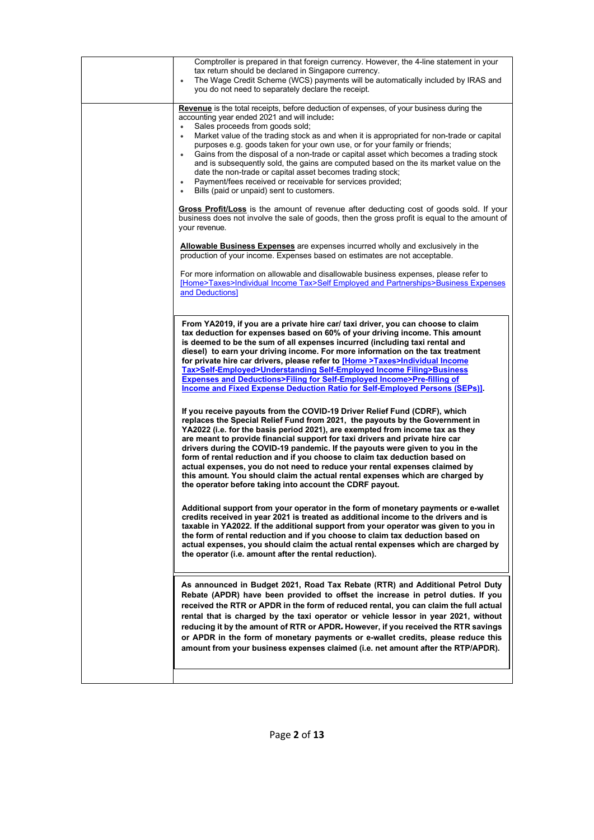| Comptroller is prepared in that foreign currency. However, the 4-line statement in your<br>tax return should be declared in Singapore currency.<br>The Wage Credit Scheme (WCS) payments will be automatically included by IRAS and<br>$\bullet$<br>you do not need to separately declare the receipt.                                                                                                                                                                                                                                                                                                                                                                                                                                                                                                                                                                                                                                                                                                                                                                                                                                                                                                                                                                                                                                                                                                                                                                                                                                                                                                                                                                     |  |
|----------------------------------------------------------------------------------------------------------------------------------------------------------------------------------------------------------------------------------------------------------------------------------------------------------------------------------------------------------------------------------------------------------------------------------------------------------------------------------------------------------------------------------------------------------------------------------------------------------------------------------------------------------------------------------------------------------------------------------------------------------------------------------------------------------------------------------------------------------------------------------------------------------------------------------------------------------------------------------------------------------------------------------------------------------------------------------------------------------------------------------------------------------------------------------------------------------------------------------------------------------------------------------------------------------------------------------------------------------------------------------------------------------------------------------------------------------------------------------------------------------------------------------------------------------------------------------------------------------------------------------------------------------------------------|--|
| Revenue is the total receipts, before deduction of expenses, of your business during the<br>accounting year ended 2021 and will include:<br>Sales proceeds from goods sold;<br>Market value of the trading stock as and when it is appropriated for non-trade or capital<br>$\bullet$<br>purposes e.g. goods taken for your own use, or for your family or friends;<br>Gains from the disposal of a non-trade or capital asset which becomes a trading stock<br>and is subsequently sold, the gains are computed based on the its market value on the<br>date the non-trade or capital asset becomes trading stock;<br>Payment/fees received or receivable for services provided;<br>$\bullet$<br>Bills (paid or unpaid) sent to customers.<br>$\bullet$                                                                                                                                                                                                                                                                                                                                                                                                                                                                                                                                                                                                                                                                                                                                                                                                                                                                                                                   |  |
| <b>Gross Profit/Loss</b> is the amount of revenue after deducting cost of goods sold. If your<br>business does not involve the sale of goods, then the gross profit is equal to the amount of<br>your revenue.                                                                                                                                                                                                                                                                                                                                                                                                                                                                                                                                                                                                                                                                                                                                                                                                                                                                                                                                                                                                                                                                                                                                                                                                                                                                                                                                                                                                                                                             |  |
| <b>Allowable Business Expenses</b> are expenses incurred wholly and exclusively in the<br>production of your income. Expenses based on estimates are not acceptable.                                                                                                                                                                                                                                                                                                                                                                                                                                                                                                                                                                                                                                                                                                                                                                                                                                                                                                                                                                                                                                                                                                                                                                                                                                                                                                                                                                                                                                                                                                       |  |
| For more information on allowable and disallowable business expenses, please refer to<br>[Home>Taxes>Individual Income Tax>Self Employed and Partnerships>Business Expenses<br>and Deductions]                                                                                                                                                                                                                                                                                                                                                                                                                                                                                                                                                                                                                                                                                                                                                                                                                                                                                                                                                                                                                                                                                                                                                                                                                                                                                                                                                                                                                                                                             |  |
| From YA2019, if you are a private hire car/ taxi driver, you can choose to claim<br>tax deduction for expenses based on 60% of your driving income. This amount<br>is deemed to be the sum of all expenses incurred (including taxi rental and<br>diesel) to earn your driving income. For more information on the tax treatment<br>for private hire car drivers, please refer to [Home >Taxes>Individual Income<br><u>Tax&gt;Self-Employed&gt;Understanding Self-Employed Income Filing&gt;Business</u><br><b>Expenses and Deductions&gt;Filing for Self-Employed Income&gt;Pre-filling of</b><br>Income and Fixed Expense Deduction Ratio for Self-Employed Persons (SEPs)].<br>If you receive payouts from the COVID-19 Driver Relief Fund (CDRF), which<br>replaces the Special Relief Fund from 2021, the payouts by the Government in<br>YA2022 (i.e. for the basis period 2021), are exempted from income tax as they<br>are meant to provide financial support for taxi drivers and private hire car<br>drivers during the COVID-19 pandemic. If the payouts were given to you in the<br>form of rental reduction and if you choose to claim tax deduction based on<br>actual expenses, you do not need to reduce your rental expenses claimed by<br>this amount. You should claim the actual rental expenses which are charged by<br>the operator before taking into account the CDRF payout.<br>Additional support from your operator in the form of monetary payments or e-wallet<br>credits received in year 2021 is treated as additional income to the drivers and is<br>taxable in YA2022. If the additional support from your operator was given to you in |  |
| the form of rental reduction and if you choose to claim tax deduction based on<br>actual expenses, you should claim the actual rental expenses which are charged by<br>the operator (i.e. amount after the rental reduction).                                                                                                                                                                                                                                                                                                                                                                                                                                                                                                                                                                                                                                                                                                                                                                                                                                                                                                                                                                                                                                                                                                                                                                                                                                                                                                                                                                                                                                              |  |
| As announced in Budget 2021, Road Tax Rebate (RTR) and Additional Petrol Duty<br>Rebate (APDR) have been provided to offset the increase in petrol duties. If you<br>received the RTR or APDR in the form of reduced rental, you can claim the full actual<br>rental that is charged by the taxi operator or vehicle lessor in year 2021, without<br>reducing it by the amount of RTR or APDR. However, if you received the RTR savings<br>or APDR in the form of monetary payments or e-wallet credits, please reduce this<br>amount from your business expenses claimed (i.e. net amount after the RTP/APDR).                                                                                                                                                                                                                                                                                                                                                                                                                                                                                                                                                                                                                                                                                                                                                                                                                                                                                                                                                                                                                                                            |  |
|                                                                                                                                                                                                                                                                                                                                                                                                                                                                                                                                                                                                                                                                                                                                                                                                                                                                                                                                                                                                                                                                                                                                                                                                                                                                                                                                                                                                                                                                                                                                                                                                                                                                            |  |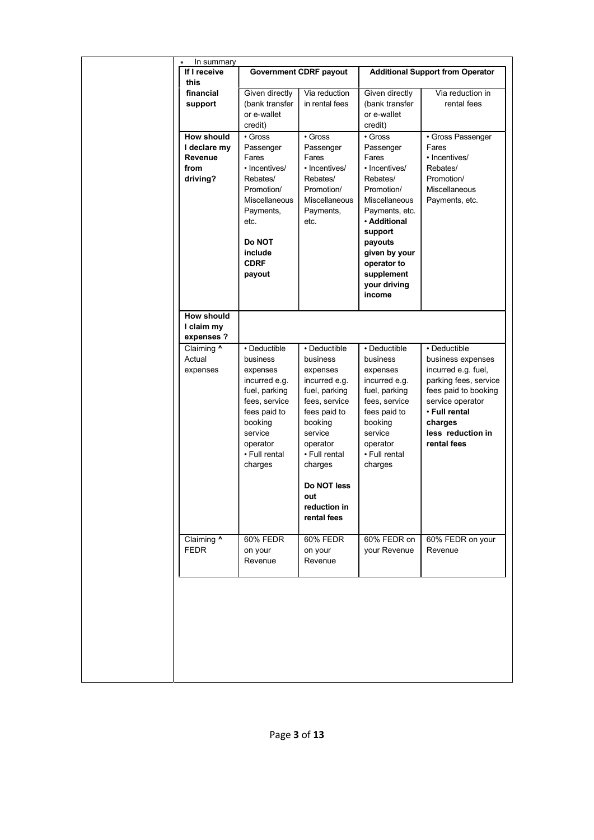| If I receive                                                                                                        | <b>Government CDRF payout</b>                                                                                                                                                                                                     |                                                                                                                                                                                                                            | <b>Additional Support from Operator</b>                                                                                                                                                                                                                                                        |                                                                                                                                                                                               |
|---------------------------------------------------------------------------------------------------------------------|-----------------------------------------------------------------------------------------------------------------------------------------------------------------------------------------------------------------------------------|----------------------------------------------------------------------------------------------------------------------------------------------------------------------------------------------------------------------------|------------------------------------------------------------------------------------------------------------------------------------------------------------------------------------------------------------------------------------------------------------------------------------------------|-----------------------------------------------------------------------------------------------------------------------------------------------------------------------------------------------|
| In summary<br>٠<br>this<br>financial<br>support<br><b>How should</b><br>I declare my<br>Revenue<br>from<br>driving? | Given directly<br>(bank transfer<br>or e-wallet<br>credit)<br>• Gross<br>Passenger<br>Fares<br>• Incentives/<br>Rebates/<br>Promotion/<br><b>Miscellaneous</b><br>Payments,<br>etc.<br>Do NOT<br>include<br><b>CDRF</b><br>payout | Via reduction<br>in rental fees<br>• Gross<br>Passenger<br>Fares<br>• Incentives/<br>Rebates/<br>Promotion/<br><b>Miscellaneous</b><br>Payments,<br>etc.                                                                   | Given directly<br>(bank transfer<br>or e-wallet<br>credit)<br>• Gross<br>Passenger<br>Fares<br>• Incentives/<br>Rebates/<br>Promotion/<br><b>Miscellaneous</b><br>Payments, etc.<br>· Additional<br>support<br>payouts<br>given by your<br>operator to<br>supplement<br>your driving<br>income | Via reduction in<br>rental fees<br>• Gross Passenger<br>Fares<br>• Incentives/<br>Rebates/<br>Promotion/<br><b>Miscellaneous</b><br>Payments, etc.                                            |
| <b>How should</b><br>I claim my<br>expenses ?<br>Claiming ^<br>Actual<br>expenses                                   | • Deductible<br>business<br>expenses<br>incurred e.g.<br>fuel, parking<br>fees, service<br>fees paid to<br>booking<br>service<br>operator<br>• Full rental<br>charges                                                             | • Deductible<br>business<br>expenses<br>incurred e.g.<br>fuel, parking<br>fees, service<br>fees paid to<br>booking<br>service<br>operator<br>• Full rental<br>charges<br>Do NOT less<br>out<br>reduction in<br>rental fees | • Deductible<br>business<br>expenses<br>incurred e.g.<br>fuel, parking<br>fees, service<br>fees paid to<br>booking<br>service<br>operator<br>• Full rental<br>charges                                                                                                                          | • Deductible<br>business expenses<br>incurred e.g. fuel,<br>parking fees, service<br>fees paid to booking<br>service operator<br>• Full rental<br>charges<br>less reduction in<br>rental fees |
| Claiming ^<br><b>FEDR</b>                                                                                           | 60% FEDR<br>on your<br>Revenue                                                                                                                                                                                                    | 60% FEDR<br>on your<br>Revenue                                                                                                                                                                                             | 60% FEDR on<br>your Revenue                                                                                                                                                                                                                                                                    | 60% FEDR on your<br>Revenue                                                                                                                                                                   |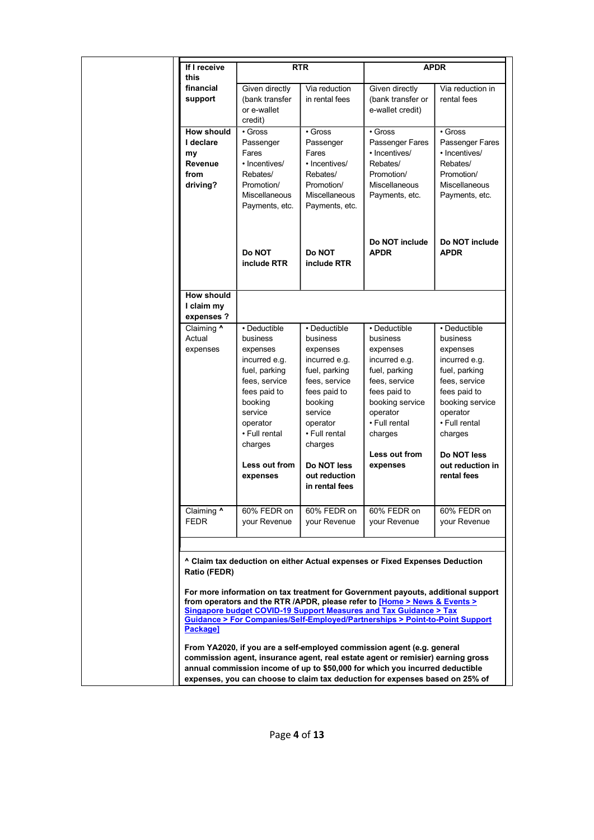| If I receive<br>this                                                |                                                                                                                                                                                        | <b>RTR</b>                                                                                                                                                                           |                                                                                                                                                                                                                                                                                                                                                                                                             | <b>APDR</b>                                                                                                                                                                                           |
|---------------------------------------------------------------------|----------------------------------------------------------------------------------------------------------------------------------------------------------------------------------------|--------------------------------------------------------------------------------------------------------------------------------------------------------------------------------------|-------------------------------------------------------------------------------------------------------------------------------------------------------------------------------------------------------------------------------------------------------------------------------------------------------------------------------------------------------------------------------------------------------------|-------------------------------------------------------------------------------------------------------------------------------------------------------------------------------------------------------|
| financial<br>support                                                | Given directly<br>(bank transfer<br>or e-wallet<br>credit)                                                                                                                             | Via reduction<br>in rental fees                                                                                                                                                      | Given directly<br>(bank transfer or<br>e-wallet credit)                                                                                                                                                                                                                                                                                                                                                     | Via reduction in<br>rental fees                                                                                                                                                                       |
| <b>How should</b><br>I declare<br>my<br>Revenue<br>from<br>driving? | • Gross<br>Passenger<br>Fares<br>• Incentives/<br>Rebates/<br>Promotion/<br><b>Miscellaneous</b><br>Payments, etc.                                                                     | • Gross<br>Passenger<br>Fares<br>• Incentives/<br>Rebates/<br>Promotion/<br><b>Miscellaneous</b><br>Payments, etc.                                                                   | • Gross<br>Passenger Fares<br>• Incentives/<br>Rebates/<br>Promotion/<br>Miscellaneous<br>Payments, etc.<br>Do NOT include                                                                                                                                                                                                                                                                                  | $\cdot$ Gross<br>Passenger Fares<br>• Incentives/<br>Rebates/<br>Promotion/<br>Miscellaneous<br>Payments, etc.<br>Do NOT include                                                                      |
|                                                                     | Do NOT<br>include RTR                                                                                                                                                                  | Do NOT<br>include RTR                                                                                                                                                                | <b>APDR</b>                                                                                                                                                                                                                                                                                                                                                                                                 | <b>APDR</b>                                                                                                                                                                                           |
| How should<br>I claim my<br>expenses?                               |                                                                                                                                                                                        |                                                                                                                                                                                      |                                                                                                                                                                                                                                                                                                                                                                                                             |                                                                                                                                                                                                       |
| Claiming ^<br>Actual<br>expenses                                    | • Deductible<br>business<br>expenses<br>incurred e.g.<br>fuel, parking<br>fees, service<br>fees paid to<br>booking<br>service<br>operator<br>• Full rental<br>charges<br>Less out from | • Deductible<br>business<br>expenses<br>incurred e.g.<br>fuel, parking<br>fees, service<br>fees paid to<br>booking<br>service<br>operator<br>• Full rental<br>charges<br>Do NOT less | • Deductible<br>business<br>expenses<br>incurred e.g.<br>fuel, parking<br>fees, service<br>fees paid to<br>booking service<br>operator<br>• Full rental<br>charges<br>Less out from<br>expenses                                                                                                                                                                                                             | • Deductible<br>business<br>expenses<br>incurred e.g.<br>fuel, parking<br>fees, service<br>fees paid to<br>booking service<br>operator<br>• Full rental<br>charges<br>Do NOT less<br>out reduction in |
|                                                                     | expenses                                                                                                                                                                               | out reduction<br>in rental fees                                                                                                                                                      |                                                                                                                                                                                                                                                                                                                                                                                                             | rental fees                                                                                                                                                                                           |
| Claiming ^<br><b>FEDR</b>                                           | 60% FEDR on<br>your Revenue                                                                                                                                                            | 60% FEDR on<br>your Revenue                                                                                                                                                          | 60% FEDR on<br>your Revenue                                                                                                                                                                                                                                                                                                                                                                                 | 60% FEDR on<br>your Revenue                                                                                                                                                                           |
| Ratio (FEDR)<br><b>Package]</b>                                     |                                                                                                                                                                                        |                                                                                                                                                                                      | A Claim tax deduction on either Actual expenses or Fixed Expenses Deduction<br>For more information on tax treatment for Government payouts, additional support<br>from operators and the RTR /APDR, please refer to [Home > News & Events ><br><b>Singapore budget COVID-19 Support Measures and Tax Guidance &gt; Tax</b><br>Guidance > For Companies/Self-Employed/Partnerships > Point-to-Point Support |                                                                                                                                                                                                       |
|                                                                     |                                                                                                                                                                                        |                                                                                                                                                                                      | From YA2020, if you are a self-employed commission agent (e.g. general<br>commission agent, insurance agent, real estate agent or remisier) earning gross<br>annual commission income of up to \$50,000 for which you incurred deductible<br>expenses, you can choose to claim tax deduction for expenses based on 25% of                                                                                   |                                                                                                                                                                                                       |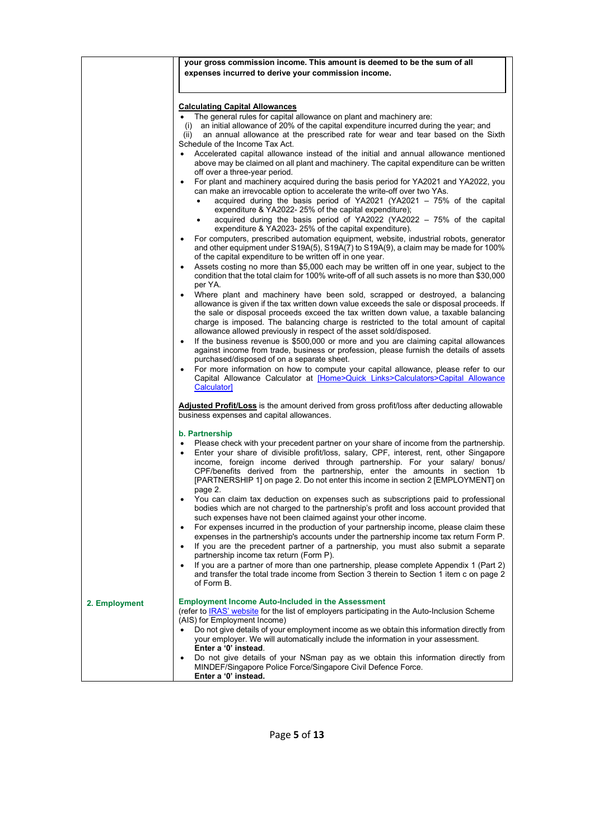|               | your gross commission income. This amount is deemed to be the sum of all<br>expenses incurred to derive your commission income.                                                                                                                                                                                                                                                                                                                                                                                                                                                                                                                                                                                                                                                                                                                                                                                                                                                                                                                                                                                                                                                                                                                                                                                                                                                                                                                                                                                                                                                                                                                                                                                                                                                                 |
|---------------|-------------------------------------------------------------------------------------------------------------------------------------------------------------------------------------------------------------------------------------------------------------------------------------------------------------------------------------------------------------------------------------------------------------------------------------------------------------------------------------------------------------------------------------------------------------------------------------------------------------------------------------------------------------------------------------------------------------------------------------------------------------------------------------------------------------------------------------------------------------------------------------------------------------------------------------------------------------------------------------------------------------------------------------------------------------------------------------------------------------------------------------------------------------------------------------------------------------------------------------------------------------------------------------------------------------------------------------------------------------------------------------------------------------------------------------------------------------------------------------------------------------------------------------------------------------------------------------------------------------------------------------------------------------------------------------------------------------------------------------------------------------------------------------------------|
|               | <b>Calculating Capital Allowances</b><br>The general rules for capital allowance on plant and machinery are:<br>an initial allowance of 20% of the capital expenditure incurred during the year; and<br>(i)<br>an annual allowance at the prescribed rate for wear and tear based on the Sixth<br>(ii)<br>Schedule of the Income Tax Act.<br>Accelerated capital allowance instead of the initial and annual allowance mentioned<br>above may be claimed on all plant and machinery. The capital expenditure can be written<br>off over a three-year period.<br>For plant and machinery acquired during the basis period for YA2021 and YA2022, you<br>$\bullet$<br>can make an irrevocable option to accelerate the write-off over two YAs.<br>acquired during the basis period of $YA2021$ ( $YA2021 - 75%$ of the capital<br>$\bullet$<br>expenditure & YA2022-25% of the capital expenditure);<br>acquired during the basis period of YA2022 (YA2022 - 75% of the capital<br>expenditure & YA2023-25% of the capital expenditure).<br>For computers, prescribed automation equipment, website, industrial robots, generator<br>٠<br>and other equipment under S19A(5), S19A(7) to S19A(9), a claim may be made for 100%<br>of the capital expenditure to be written off in one year.<br>Assets costing no more than \$5,000 each may be written off in one year, subject to the<br>$\bullet$<br>condition that the total claim for 100% write-off of all such assets is no more than \$30,000<br>per YA.<br>Where plant and machinery have been sold, scrapped or destroyed, a balancing<br>$\bullet$<br>allowance is given if the tax written down value exceeds the sale or disposal proceeds. If<br>the sale or disposal proceeds exceed the tax written down value, a taxable balancing |
|               | charge is imposed. The balancing charge is restricted to the total amount of capital<br>allowance allowed previously in respect of the asset sold/disposed.<br>If the business revenue is \$500,000 or more and you are claiming capital allowances<br>$\bullet$<br>against income from trade, business or profession, please furnish the details of assets<br>purchased/disposed of on a separate sheet.<br>For more information on how to compute your capital allowance, please refer to our<br>$\bullet$<br>Capital Allowance Calculator at [Home>Quick Links>Calculators>Capital Allowance<br>Calculator]<br><b>Adjusted Profit/Loss</b> is the amount derived from gross profit/loss after deducting allowable<br>business expenses and capital allowances.                                                                                                                                                                                                                                                                                                                                                                                                                                                                                                                                                                                                                                                                                                                                                                                                                                                                                                                                                                                                                               |
|               | b. Partnership<br>Please check with your precedent partner on your share of income from the partnership.<br>$\bullet$<br>Enter your share of divisible profit/loss, salary, CPF, interest, rent, other Singapore<br>٠<br>income, foreign income derived through partnership. For your salary/ bonus/<br>CPF/benefits derived from the partnership, enter the amounts in section 1b<br>[PARTNERSHIP 1] on page 2. Do not enter this income in section 2 [EMPLOYMENT] on<br>page 2.<br>You can claim tax deduction on expenses such as subscriptions paid to professional<br>bodies which are not charged to the partnership's profit and loss account provided that<br>such expenses have not been claimed against your other income.<br>For expenses incurred in the production of your partnership income, please claim these<br>$\bullet$<br>expenses in the partnership's accounts under the partnership income tax return Form P.<br>If you are the precedent partner of a partnership, you must also submit a separate<br>$\bullet$<br>partnership income tax return (Form P).<br>If you are a partner of more than one partnership, please complete Appendix 1 (Part 2)<br>$\bullet$<br>and transfer the total trade income from Section 3 therein to Section 1 item c on page 2<br>of Form B.                                                                                                                                                                                                                                                                                                                                                                                                                                                                                            |
| 2. Employment | <b>Employment Income Auto-Included in the Assessment</b><br>(refer to <b>IRAS'</b> website for the list of employers participating in the Auto-Inclusion Scheme<br>(AIS) for Employment Income)<br>Do not give details of your employment income as we obtain this information directly from<br>$\bullet$<br>your employer. We will automatically include the information in your assessment.<br>Enter a '0' instead.<br>Do not give details of your NSman pay as we obtain this information directly from<br>$\bullet$<br>MINDEF/Singapore Police Force/Singapore Civil Defence Force.<br>Enter a '0' instead.                                                                                                                                                                                                                                                                                                                                                                                                                                                                                                                                                                                                                                                                                                                                                                                                                                                                                                                                                                                                                                                                                                                                                                                 |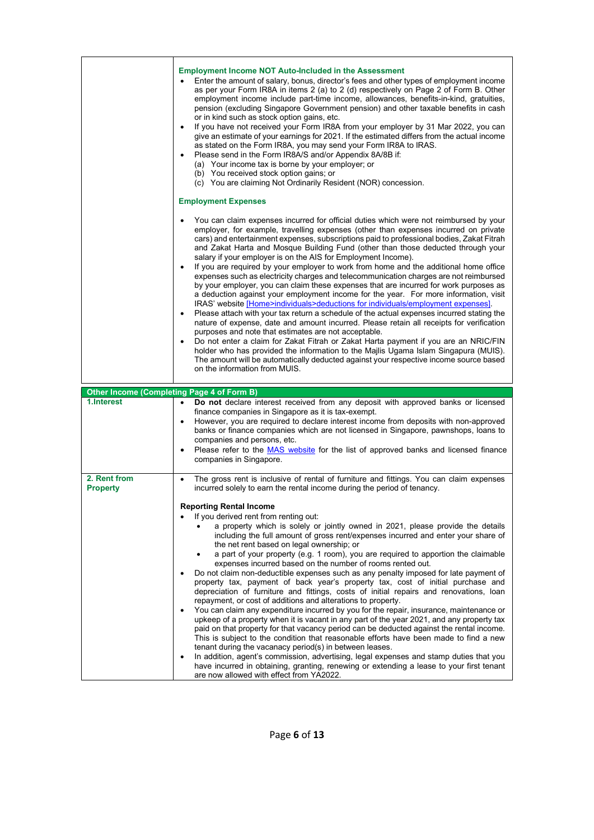|                                            | <b>Employment Income NOT Auto-Included in the Assessment</b><br>Enter the amount of salary, bonus, director's fees and other types of employment income<br>as per your Form IR8A in items 2 (a) to 2 (d) respectively on Page 2 of Form B. Other<br>employment income include part-time income, allowances, benefits-in-kind, gratuities,<br>pension (excluding Singapore Government pension) and other taxable benefits in cash<br>or in kind such as stock option gains, etc.<br>If you have not received your Form IR8A from your employer by 31 Mar 2022, you can<br>$\bullet$<br>give an estimate of your earnings for 2021. If the estimated differs from the actual income<br>as stated on the Form IR8A, you may send your Form IR8A to IRAS.<br>Please send in the Form IR8A/S and/or Appendix 8A/8B if:<br>$\bullet$<br>(a) Your income tax is borne by your employer; or<br>(b) You received stock option gains; or<br>(c) You are claiming Not Ordinarily Resident (NOR) concession.                                                                                                                                                                                                                                                                                                                                                                                                                                                                                                                                                                                  |
|--------------------------------------------|-----------------------------------------------------------------------------------------------------------------------------------------------------------------------------------------------------------------------------------------------------------------------------------------------------------------------------------------------------------------------------------------------------------------------------------------------------------------------------------------------------------------------------------------------------------------------------------------------------------------------------------------------------------------------------------------------------------------------------------------------------------------------------------------------------------------------------------------------------------------------------------------------------------------------------------------------------------------------------------------------------------------------------------------------------------------------------------------------------------------------------------------------------------------------------------------------------------------------------------------------------------------------------------------------------------------------------------------------------------------------------------------------------------------------------------------------------------------------------------------------------------------------------------------------------------------------------------|
|                                            | <b>Employment Expenses</b>                                                                                                                                                                                                                                                                                                                                                                                                                                                                                                                                                                                                                                                                                                                                                                                                                                                                                                                                                                                                                                                                                                                                                                                                                                                                                                                                                                                                                                                                                                                                                        |
|                                            | You can claim expenses incurred for official duties which were not reimbursed by your<br>$\bullet$<br>employer, for example, travelling expenses (other than expenses incurred on private<br>cars) and entertainment expenses, subscriptions paid to professional bodies, Zakat Fitrah<br>and Zakat Harta and Mosque Building Fund (other than those deducted through your<br>salary if your employer is on the AIS for Employment Income).<br>If you are required by your employer to work from home and the additional home office<br>$\bullet$<br>expenses such as electricity charges and telecommunication charges are not reimbursed<br>by your employer, you can claim these expenses that are incurred for work purposes as<br>a deduction against your employment income for the year. For more information, visit<br>IRAS' website [Home>individuals>deductions for individuals/employment expenses].<br>Please attach with your tax return a schedule of the actual expenses incurred stating the<br>$\bullet$<br>nature of expense, date and amount incurred. Please retain all receipts for verification<br>purposes and note that estimates are not acceptable.<br>Do not enter a claim for Zakat Fitrah or Zakat Harta payment if you are an NRIC/FIN<br>$\bullet$<br>holder who has provided the information to the Majlis Ugama Islam Singapura (MUIS).<br>The amount will be automatically deducted against your respective income source based<br>on the information from MUIS.                                                                                |
| Other Income (Completing Page 4 of Form B) |                                                                                                                                                                                                                                                                                                                                                                                                                                                                                                                                                                                                                                                                                                                                                                                                                                                                                                                                                                                                                                                                                                                                                                                                                                                                                                                                                                                                                                                                                                                                                                                   |
| 1.Interest                                 | Do not declare interest received from any deposit with approved banks or licensed<br>$\bullet$<br>finance companies in Singapore as it is tax-exempt.<br>However, you are required to declare interest income from deposits with non-approved<br>$\bullet$<br>banks or finance companies which are not licensed in Singapore, pawnshops, loans to<br>companies and persons, etc.<br>Please refer to the MAS website for the list of approved banks and licensed finance<br>$\bullet$<br>companies in Singapore.                                                                                                                                                                                                                                                                                                                                                                                                                                                                                                                                                                                                                                                                                                                                                                                                                                                                                                                                                                                                                                                                   |
| 2. Rent from                               | The gross rent is inclusive of rental of furniture and fittings. You can claim expenses<br>$\bullet$                                                                                                                                                                                                                                                                                                                                                                                                                                                                                                                                                                                                                                                                                                                                                                                                                                                                                                                                                                                                                                                                                                                                                                                                                                                                                                                                                                                                                                                                              |
| <b>Property</b>                            | incurred solely to earn the rental income during the period of tenancy.<br><b>Reporting Rental Income</b><br>If you derived rent from renting out:<br>a property which is solely or jointly owned in 2021, please provide the details<br>including the full amount of gross rent/expenses incurred and enter your share of<br>the net rent based on legal ownership; or<br>a part of your property (e.g. 1 room), you are required to apportion the claimable<br>expenses incurred based on the number of rooms rented out.<br>Do not claim non-deductible expenses such as any penalty imposed for late payment of<br>$\bullet$<br>property tax, payment of back year's property tax, cost of initial purchase and<br>depreciation of furniture and fittings, costs of initial repairs and renovations, loan<br>repayment, or cost of additions and alterations to property.<br>You can claim any expenditure incurred by you for the repair, insurance, maintenance or<br>$\bullet$<br>upkeep of a property when it is vacant in any part of the year 2021, and any property tax<br>paid on that property for that vacancy period can be deducted against the rental income.<br>This is subject to the condition that reasonable efforts have been made to find a new<br>tenant during the vacanacy period(s) in between leases.<br>In addition, agent's commission, advertising, legal expenses and stamp duties that you<br>$\bullet$<br>have incurred in obtaining, granting, renewing or extending a lease to your first tenant<br>are now allowed with effect from YA2022. |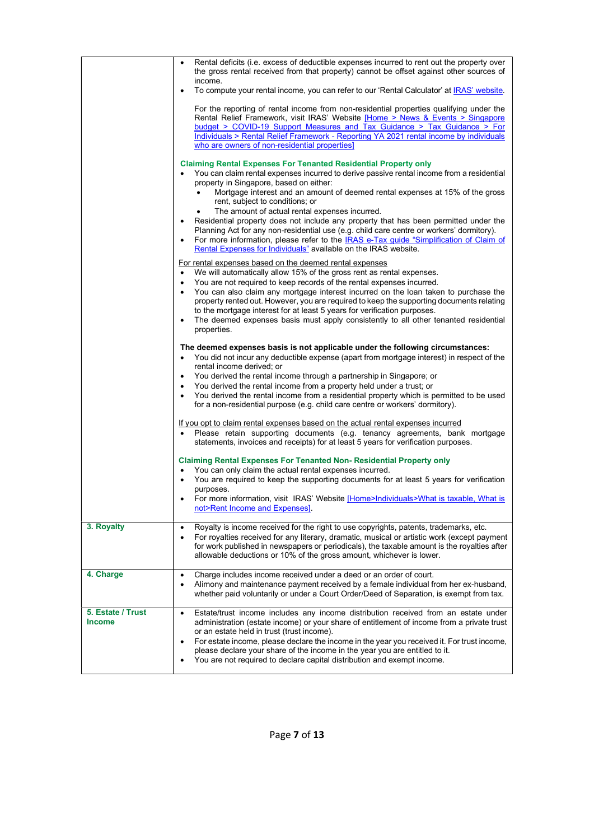|                                    | Rental deficits (i.e. excess of deductible expenses incurred to rent out the property over<br>$\bullet$<br>the gross rental received from that property) cannot be offset against other sources of<br>income.                                                                                                                                                                                     |
|------------------------------------|---------------------------------------------------------------------------------------------------------------------------------------------------------------------------------------------------------------------------------------------------------------------------------------------------------------------------------------------------------------------------------------------------|
|                                    | To compute your rental income, you can refer to our 'Rental Calculator' at IRAS' website.<br>$\bullet$                                                                                                                                                                                                                                                                                            |
|                                    | For the reporting of rental income from non-residential properties qualifying under the<br>Rental Relief Framework, visit IRAS' Website [Home > News & Events > Singapore<br>budget > COVID-19 Support Measures and Tax Guidance > Tax Guidance > For<br>Individuals > Rental Relief Framework - Reporting YA 2021 rental income by individuals<br>who are owners of non-residential properties]  |
|                                    | <b>Claiming Rental Expenses For Tenanted Residential Property only</b><br>You can claim rental expenses incurred to derive passive rental income from a residential<br>$\bullet$<br>property in Singapore, based on either:<br>Mortgage interest and an amount of deemed rental expenses at 15% of the gross<br>rent, subject to conditions; or<br>The amount of actual rental expenses incurred. |
|                                    | Residential property does not include any property that has been permitted under the<br>$\bullet$<br>Planning Act for any non-residential use (e.g. child care centre or workers' dormitory).<br>For more information, please refer to the IRAS e-Tax guide "Simplification of Claim of<br>$\bullet$<br>Rental Expenses for Individuals" available on the IRAS website.                           |
|                                    | For rental expenses based on the deemed rental expenses                                                                                                                                                                                                                                                                                                                                           |
|                                    | We will automatically allow 15% of the gross rent as rental expenses.<br>$\bullet$                                                                                                                                                                                                                                                                                                                |
|                                    | You are not required to keep records of the rental expenses incurred.<br>$\bullet$                                                                                                                                                                                                                                                                                                                |
|                                    | You can also claim any mortgage interest incurred on the loan taken to purchase the<br>$\bullet$<br>property rented out. However, you are required to keep the supporting documents relating<br>to the mortgage interest for at least 5 years for verification purposes.                                                                                                                          |
|                                    | The deemed expenses basis must apply consistently to all other tenanted residential<br>$\bullet$<br>properties.                                                                                                                                                                                                                                                                                   |
|                                    | The deemed expenses basis is not applicable under the following circumstances:<br>You did not incur any deductible expense (apart from mortgage interest) in respect of the<br>$\bullet$<br>rental income derived; or                                                                                                                                                                             |
|                                    | You derived the rental income through a partnership in Singapore; or<br>$\bullet$                                                                                                                                                                                                                                                                                                                 |
|                                    | You derived the rental income from a property held under a trust; or<br>$\bullet$                                                                                                                                                                                                                                                                                                                 |
|                                    | You derived the rental income from a residential property which is permitted to be used<br>$\bullet$<br>for a non-residential purpose (e.g. child care centre or workers' dormitory).                                                                                                                                                                                                             |
|                                    | If you opt to claim rental expenses based on the actual rental expenses incurred<br>Please retain supporting documents (e.g. tenancy agreements, bank mortgage<br>$\bullet$<br>statements, invoices and receipts) for at least 5 years for verification purposes.                                                                                                                                 |
|                                    | Claiming Rental Expenses For Tenanted Non- Residential Property only<br>You can only claim the actual rental expenses incurred.<br>$\bullet$<br>You are required to keep the supporting documents for at least 5 years for verification<br>$\bullet$                                                                                                                                              |
|                                    | purposes.                                                                                                                                                                                                                                                                                                                                                                                         |
|                                    | For more information, visit IRAS' Website [Home>Individuals>What is taxable, What is<br>not>Rent Income and Expenses]                                                                                                                                                                                                                                                                             |
| 3. Royalty                         | Royalty is income received for the right to use copyrights, patents, trademarks, etc.<br>$\bullet$<br>For royalties received for any literary, dramatic, musical or artistic work (except payment<br>$\bullet$<br>for work published in newspapers or periodicals), the taxable amount is the royalties after<br>allowable deductions or 10% of the gross amount, whichever is lower.             |
| 4. Charge                          | Charge includes income received under a deed or an order of court.<br>$\bullet$<br>Alimony and maintenance payment received by a female individual from her ex-husband,<br>$\bullet$<br>whether paid voluntarily or under a Court Order/Deed of Separation, is exempt from tax.                                                                                                                   |
| 5. Estate / Trust<br><b>Income</b> | Estate/trust income includes any income distribution received from an estate under<br>$\bullet$<br>administration (estate income) or your share of entitlement of income from a private trust<br>or an estate held in trust (trust income).<br>For estate income, please declare the income in the year you received it. For trust income,<br>$\bullet$                                           |
|                                    | please declare your share of the income in the year you are entitled to it.<br>You are not required to declare capital distribution and exempt income.<br>$\bullet$                                                                                                                                                                                                                               |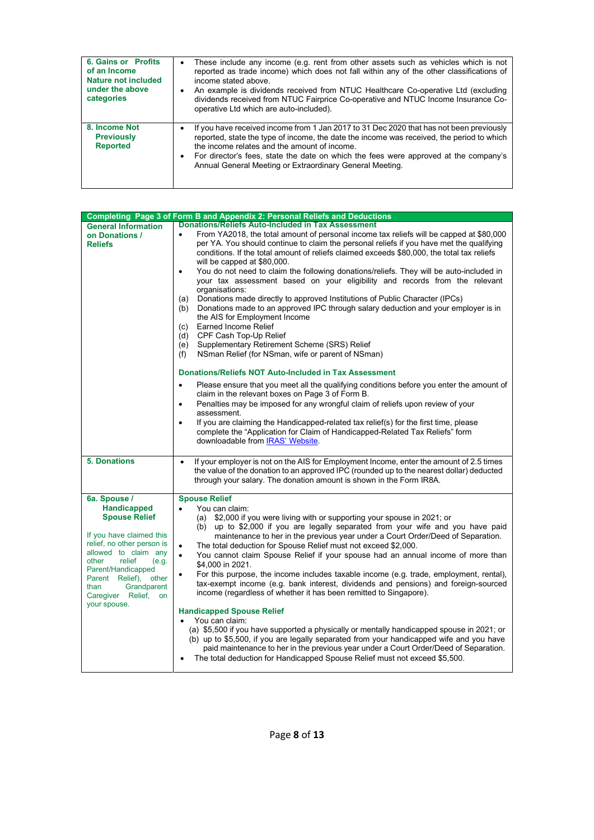| <b>6. Gains or Profits</b><br>of an Income<br>Nature not included<br>under the above<br>categories | These include any income (e.g. rent from other assets such as vehicles which is not<br>٠<br>reported as trade income) which does not fall within any of the other classifications of<br>income stated above<br>An example is dividends received from NTUC Healthcare Co-operative Ltd (excluding<br>$\bullet$<br>dividends received from NTUC Fairprice Co-operative and NTUC Income Insurance Co-<br>operative Ltd which are auto-included). |
|----------------------------------------------------------------------------------------------------|-----------------------------------------------------------------------------------------------------------------------------------------------------------------------------------------------------------------------------------------------------------------------------------------------------------------------------------------------------------------------------------------------------------------------------------------------|
| 8. Income Not<br><b>Previously</b><br><b>Reported</b>                                              | If you have received income from 1 Jan 2017 to 31 Dec 2020 that has not been previously<br>٠<br>reported, state the type of income, the date the income was received, the period to which<br>the income relates and the amount of income<br>For director's fees, state the date on which the fees were approved at the company's<br>$\bullet$<br>Annual General Meeting or Extraordinary General Meeting.                                     |

|                                         | Completing Page 3 of Form B and Appendix 2: Personal Reliefs and Deductions                           |
|-----------------------------------------|-------------------------------------------------------------------------------------------------------|
| <b>General Information</b>              | <b>Donations/Reliefs Auto-Included in Tax Assessment</b>                                              |
| on Donations /                          | From YA2018, the total amount of personal income tax reliefs will be capped at \$80,000<br>$\bullet$  |
| <b>Reliefs</b>                          | per YA. You should continue to claim the personal reliefs if you have met the qualifying              |
|                                         | conditions. If the total amount of reliefs claimed exceeds \$80,000, the total tax reliefs            |
|                                         | will be capped at \$80,000.                                                                           |
|                                         | You do not need to claim the following donations/reliefs. They will be auto-included in<br>$\bullet$  |
|                                         | your tax assessment based on your eligibility and records from the relevant                           |
|                                         | organisations:                                                                                        |
|                                         | Donations made directly to approved Institutions of Public Character (IPCs)<br>(a)                    |
|                                         | Donations made to an approved IPC through salary deduction and your employer is in<br>(b)             |
|                                         | the AIS for Employment Income                                                                         |
|                                         | Earned Income Relief<br>(c)                                                                           |
|                                         | CPF Cash Top-Up Relief<br>(d)                                                                         |
|                                         | Supplementary Retirement Scheme (SRS) Relief<br>(e)                                                   |
|                                         | NSman Relief (for NSman, wife or parent of NSman)<br>(f)                                              |
|                                         |                                                                                                       |
|                                         | <b>Donations/Reliefs NOT Auto-Included in Tax Assessment</b>                                          |
|                                         | Please ensure that you meet all the qualifying conditions before you enter the amount of<br>$\bullet$ |
|                                         | claim in the relevant boxes on Page 3 of Form B.                                                      |
|                                         | Penalties may be imposed for any wrongful claim of reliefs upon review of your<br>$\bullet$           |
|                                         | assessment.                                                                                           |
|                                         | If you are claiming the Handicapped-related tax relief(s) for the first time, please<br>$\bullet$     |
|                                         | complete the "Application for Claim of Handicapped-Related Tax Reliefs" form                          |
|                                         | downloadable from IRAS' Website.                                                                      |
|                                         |                                                                                                       |
| <b>5. Donations</b>                     | If your employer is not on the AIS for Employment Income, enter the amount of 2.5 times<br>$\bullet$  |
|                                         | the value of the donation to an approved IPC (rounded up to the nearest dollar) deducted              |
|                                         | through your salary. The donation amount is shown in the Form IR8A.                                   |
|                                         |                                                                                                       |
| 6a. Spouse /                            | <b>Spouse Relief</b>                                                                                  |
| <b>Handicapped</b>                      | You can claim:                                                                                        |
| <b>Spouse Relief</b>                    | (a) \$2,000 if you were living with or supporting your spouse in 2021; or                             |
|                                         | (b) up to \$2,000 if you are legally separated from your wife and you have paid                       |
| If you have claimed this                | maintenance to her in the previous year under a Court Order/Deed of Separation.                       |
| relief, no other person is              | The total deduction for Spouse Relief must not exceed \$2,000.<br>٠                                   |
| allowed to claim any<br>other<br>relief | You cannot claim Spouse Relief if your spouse had an annual income of more than<br>$\bullet$          |
| (e.g.<br>Parent/Handicapped             | \$4,000 in 2021.                                                                                      |
| Parent Relief),<br>other                | For this purpose, the income includes taxable income (e.g. trade, employment, rental),<br>٠           |
| Grandparent<br>than                     | tax-exempt income (e.g. bank interest, dividends and pensions) and foreign-sourced                    |
| Caregiver Relief,<br>on                 | income (regardless of whether it has been remitted to Singapore).                                     |
| your spouse.                            |                                                                                                       |
|                                         | <b>Handicapped Spouse Relief</b>                                                                      |
|                                         | You can claim:                                                                                        |
|                                         | (a) \$5,500 if you have supported a physically or mentally handicapped spouse in 2021; or             |
|                                         | (b) up to \$5,500, if you are legally separated from your handicapped wife and you have               |
|                                         | paid maintenance to her in the previous year under a Court Order/Deed of Separation.                  |
|                                         | The total deduction for Handicapped Spouse Relief must not exceed \$5,500.                            |
|                                         |                                                                                                       |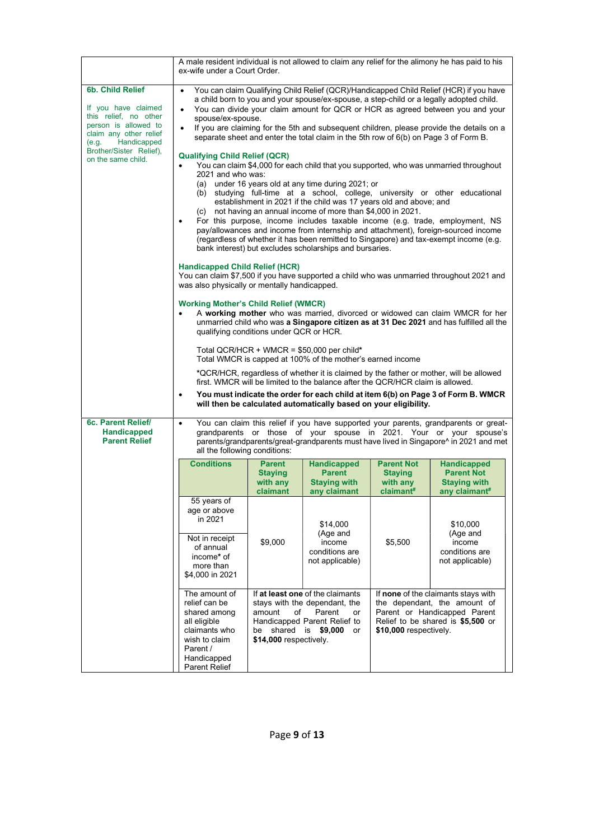|                                                                                                                                                                                             | ex-wife under a Court Order.                                                                                                                                                                                                                                                                                                    |                                                                    |                                                                                                                                                                                                                                                                                                                                                                                                                                                                                                                                                                                                             |                                                                                     | A male resident individual is not allowed to claim any relief for the alimony he has paid to his                                                                                                                                                                                                                                                                                                                                                                                                                                                                                                                                                                                                                                                                                                                                                                                                                                                                                                                                                                                                                                                                                                                                                          |
|---------------------------------------------------------------------------------------------------------------------------------------------------------------------------------------------|---------------------------------------------------------------------------------------------------------------------------------------------------------------------------------------------------------------------------------------------------------------------------------------------------------------------------------|--------------------------------------------------------------------|-------------------------------------------------------------------------------------------------------------------------------------------------------------------------------------------------------------------------------------------------------------------------------------------------------------------------------------------------------------------------------------------------------------------------------------------------------------------------------------------------------------------------------------------------------------------------------------------------------------|-------------------------------------------------------------------------------------|-----------------------------------------------------------------------------------------------------------------------------------------------------------------------------------------------------------------------------------------------------------------------------------------------------------------------------------------------------------------------------------------------------------------------------------------------------------------------------------------------------------------------------------------------------------------------------------------------------------------------------------------------------------------------------------------------------------------------------------------------------------------------------------------------------------------------------------------------------------------------------------------------------------------------------------------------------------------------------------------------------------------------------------------------------------------------------------------------------------------------------------------------------------------------------------------------------------------------------------------------------------|
| 6b. Child Relief<br>If you have claimed<br>this relief, no other<br>person is allowed to<br>claim any other relief<br>Handicapped<br>(e.g.<br>Brother/Sister Relief),<br>on the same child. | $\bullet$<br>$\bullet$<br>spouse/ex-spouse.<br>$\bullet$<br><b>Qualifying Child Relief (QCR)</b><br>$\bullet$<br>2021 and who was:<br>(b)<br>(C)<br>$\bullet$<br><b>Handicapped Child Relief (HCR)</b><br>was also physically or mentally handicapped.<br><b>Working Mother's Child Relief (WMCR)</b><br>$\bullet$<br>$\bullet$ | qualifying conditions under QCR or HCR.                            | separate sheet and enter the total claim in the 5th row of 6(b) on Page 3 of Form B.<br>(a) under 16 years old at any time during 2021; or<br>establishment in 2021 if the child was 17 years old and above; and<br>not having an annual income of more than \$4,000 in 2021.<br>bank interest) but excludes scholarships and bursaries.<br>Total QCR/HCR + WMCR = $$50,000$ per child*<br>Total WMCR is capped at 100% of the mother's earned income<br>first. WMCR will be limited to the balance after the QCR/HCR claim is allowed.<br>will then be calculated automatically based on your eligibility. |                                                                                     | You can claim Qualifying Child Relief (QCR)/Handicapped Child Relief (HCR) if you have<br>a child born to you and your spouse/ex-spouse, a step-child or a legally adopted child.<br>You can divide your claim amount for QCR or HCR as agreed between you and your<br>If you are claiming for the 5th and subsequent children, please provide the details on a<br>You can claim \$4,000 for each child that you supported, who was unmarried throughout<br>studying full-time at a school, college, university or other educational<br>For this purpose, income includes taxable income (e.g. trade, employment, NS<br>pay/allowances and income from internship and attachment), foreign-sourced income<br>(regardless of whether it has been remitted to Singapore) and tax-exempt income (e.g.<br>You can claim \$7,500 if you have supported a child who was unmarried throughout 2021 and<br>A working mother who was married, divorced or widowed can claim WMCR for her<br>unmarried child who was a Singapore citizen as at 31 Dec 2021 and has fulfilled all the<br>*QCR/HCR, regardless of whether it is claimed by the father or mother, will be allowed<br>You must indicate the order for each child at item 6(b) on Page 3 of Form B. WMCR |
| 6c. Parent Relief/<br><b>Handicapped</b><br><b>Parent Relief</b>                                                                                                                            | $\bullet$<br>all the following conditions:                                                                                                                                                                                                                                                                                      |                                                                    |                                                                                                                                                                                                                                                                                                                                                                                                                                                                                                                                                                                                             |                                                                                     | You can claim this relief if you have supported your parents, grandparents or great-<br>grandparents or those of your spouse in 2021. Your or your spouse's<br>parents/grandparents/great-grandparents must have lived in Singapore^ in 2021 and met                                                                                                                                                                                                                                                                                                                                                                                                                                                                                                                                                                                                                                                                                                                                                                                                                                                                                                                                                                                                      |
|                                                                                                                                                                                             | <b>Conditions</b><br>55 years of<br>age or above<br>in 2021<br>Not in receipt<br>of annual                                                                                                                                                                                                                                      | <b>Parent</b><br><b>Staying</b><br>with any<br>claimant<br>\$9,000 | <b>Handicapped</b><br><b>Parent</b><br><b>Staying with</b><br>any claimant<br>\$14,000<br>(Age and<br>income<br>conditions are                                                                                                                                                                                                                                                                                                                                                                                                                                                                              | <b>Parent Not</b><br><b>Staying</b><br>with any<br>claimant <sup>#</sup><br>\$5,500 | <b>Handicapped</b><br><b>Parent Not</b><br><b>Staying with</b><br>any claimant#<br>\$10,000<br>(Age and<br>income<br>conditions are                                                                                                                                                                                                                                                                                                                                                                                                                                                                                                                                                                                                                                                                                                                                                                                                                                                                                                                                                                                                                                                                                                                       |
|                                                                                                                                                                                             | income* of<br>more than<br>\$4,000 in 2021<br>The amount of<br>relief can be<br>shared among<br>all eligible<br>claimants who<br>wish to claim                                                                                                                                                                                  | amount<br>of<br>be shared is $$9,000$<br>\$14,000 respectively.    | not applicable)<br>If at least one of the claimants<br>stays with the dependant, the<br>Parent<br>or<br>Handicapped Parent Relief to<br>or                                                                                                                                                                                                                                                                                                                                                                                                                                                                  | \$10,000 respectively.                                                              | not applicable)<br>If none of the claimants stays with<br>the dependant, the amount of<br>Parent or Handicapped Parent<br>Relief to be shared is \$5,500 or                                                                                                                                                                                                                                                                                                                                                                                                                                                                                                                                                                                                                                                                                                                                                                                                                                                                                                                                                                                                                                                                                               |
|                                                                                                                                                                                             | Parent /<br>Handicapped<br>Parent Relief                                                                                                                                                                                                                                                                                        |                                                                    |                                                                                                                                                                                                                                                                                                                                                                                                                                                                                                                                                                                                             |                                                                                     |                                                                                                                                                                                                                                                                                                                                                                                                                                                                                                                                                                                                                                                                                                                                                                                                                                                                                                                                                                                                                                                                                                                                                                                                                                                           |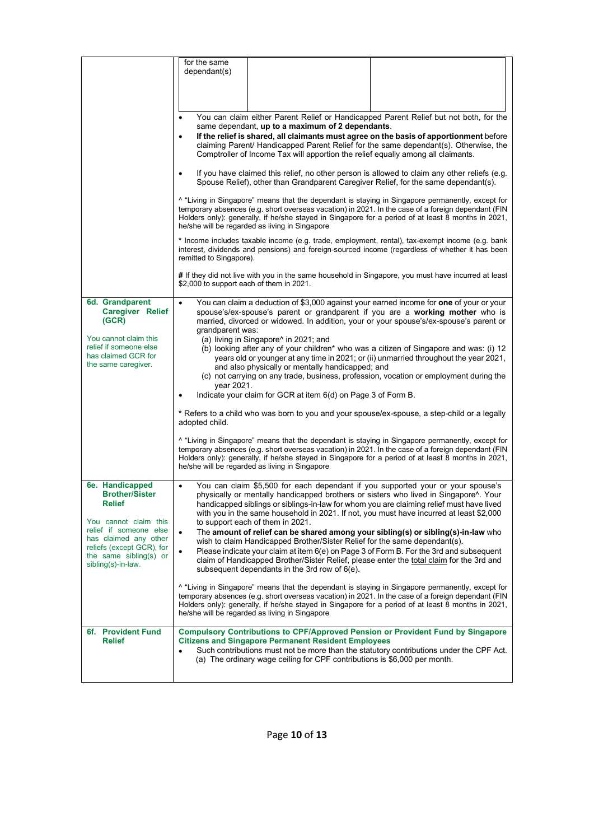|                                                                                                                              | for the same<br>dependant(s)                                                                                                                                                                                                                                                                                                                                                                                                              |
|------------------------------------------------------------------------------------------------------------------------------|-------------------------------------------------------------------------------------------------------------------------------------------------------------------------------------------------------------------------------------------------------------------------------------------------------------------------------------------------------------------------------------------------------------------------------------------|
|                                                                                                                              |                                                                                                                                                                                                                                                                                                                                                                                                                                           |
|                                                                                                                              | You can claim either Parent Relief or Handicapped Parent Relief but not both, for the<br>$\bullet$<br>same dependant, up to a maximum of 2 dependants.<br>If the relief is shared, all claimants must agree on the basis of apportionment before<br>$\bullet$<br>claiming Parent/ Handicapped Parent Relief for the same dependant(s). Otherwise, the<br>Comptroller of Income Tax will apportion the relief equally among all claimants. |
|                                                                                                                              | If you have claimed this relief, no other person is allowed to claim any other reliefs (e.g.<br>Spouse Relief), other than Grandparent Caregiver Relief, for the same dependant(s).                                                                                                                                                                                                                                                       |
|                                                                                                                              | ^ "Living in Singapore" means that the dependant is staying in Singapore permanently, except for<br>temporary absences (e.g. short overseas vacation) in 2021. In the case of a foreign dependant (FIN<br>Holders only): generally, if he/she stayed in Singapore for a period of at least 8 months in 2021,<br>he/she will be regarded as living in Singapore.                                                                           |
|                                                                                                                              | * Income includes taxable income (e.g. trade, employment, rental), tax-exempt income (e.g. bank<br>interest, dividends and pensions) and foreign-sourced income (regardless of whether it has been<br>remitted to Singapore).                                                                                                                                                                                                             |
|                                                                                                                              | # If they did not live with you in the same household in Singapore, you must have incurred at least<br>\$2,000 to support each of them in 2021.                                                                                                                                                                                                                                                                                           |
| 6d. Grandparent<br><b>Caregiver Relief</b><br>(GCR)<br>You cannot claim this                                                 | You can claim a deduction of \$3,000 against your earned income for one of your or your<br>$\bullet$<br>spouse's/ex-spouse's parent or grandparent if you are a working mother who is<br>married, divorced or widowed. In addition, your or your spouse's/ex-spouse's parent or<br>grandparent was:<br>(a) living in Singapore^ in 2021; and                                                                                              |
| relief if someone else<br>has claimed GCR for<br>the same caregiver.                                                         | (b) looking after any of your children* who was a citizen of Singapore and was: (i) 12<br>years old or younger at any time in 2021; or (ii) unmarried throughout the year 2021,<br>and also physically or mentally handicapped; and<br>(c) not carrying on any trade, business, profession, vocation or employment during the                                                                                                             |
|                                                                                                                              | year 2021.<br>Indicate your claim for GCR at item 6(d) on Page 3 of Form B.<br>$\bullet$                                                                                                                                                                                                                                                                                                                                                  |
|                                                                                                                              | * Refers to a child who was born to you and your spouse/ex-spouse, a step-child or a legally<br>adopted child.                                                                                                                                                                                                                                                                                                                            |
|                                                                                                                              | ^ "Living in Singapore" means that the dependant is staying in Singapore permanently, except for<br>temporary absences (e.g. short overseas vacation) in 2021. In the case of a foreign dependant (FIN<br>Holders only): generally, if he/she stayed in Singapore for a period of at least 8 months in 2021,<br>he/she will be regarded as living in Singapore.                                                                           |
| 6e. Handicapped<br><b>Brother/Sister</b><br><b>Relief</b><br>You cannot claim this                                           | You can claim \$5,500 for each dependant if you supported your or your spouse's<br>physically or mentally handicapped brothers or sisters who lived in Singapore <sup><math>\Lambda</math></sup> . Your<br>handicapped siblings or siblings-in-law for whom you are claiming relief must have lived<br>with you in the same household in 2021. If not, you must have incurred at least \$2,000<br>to support each of them in 2021.        |
| relief if someone else<br>has claimed any other<br>reliefs (except GCR), for<br>the same sibling(s) or<br>sibling(s)-in-law. | The amount of relief can be shared among your sibling(s) or sibling(s)-in-law who<br>$\bullet$<br>wish to claim Handicapped Brother/Sister Relief for the same dependant(s).<br>Please indicate your claim at item 6(e) on Page 3 of Form B. For the 3rd and subsequent<br>$\bullet$<br>claim of Handicapped Brother/Sister Relief, please enter the total claim for the 3rd and<br>subsequent dependants in the 3rd row of 6(e).         |
|                                                                                                                              | <sup>^</sup> "Living in Singapore" means that the dependant is staying in Singapore permanently, except for<br>temporary absences (e.g. short overseas vacation) in 2021. In the case of a foreign dependant (FIN<br>Holders only): generally, if he/she stayed in Singapore for a period of at least 8 months in 2021,<br>he/she will be regarded as living in Singapore.                                                                |
| 6f. Provident Fund<br><b>Relief</b>                                                                                          | <b>Compulsory Contributions to CPF/Approved Pension or Provident Fund by Singapore</b><br><b>Citizens and Singapore Permanent Resident Employees</b><br>Such contributions must not be more than the statutory contributions under the CPF Act.<br>$\bullet$<br>(a) The ordinary wage ceiling for CPF contributions is \$6,000 per month.                                                                                                 |
|                                                                                                                              |                                                                                                                                                                                                                                                                                                                                                                                                                                           |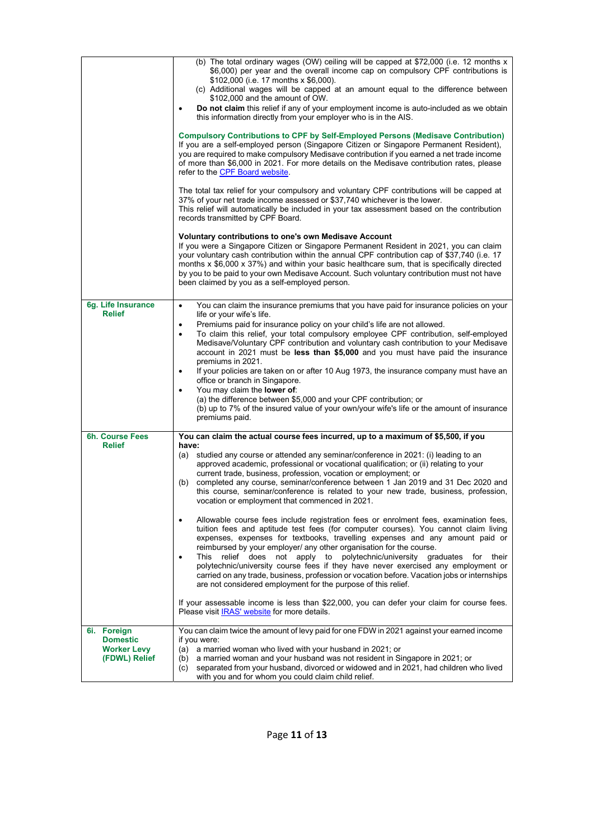|                                                                       | (b) The total ordinary wages (OW) ceiling will be capped at \$72,000 (i.e. 12 months x<br>\$6,000) per year and the overall income cap on compulsory CPF contributions is<br>\$102,000 (i.e. 17 months x \$6,000).                                                                                                                                                                                                                                                                                                                                                                                                                                                                    |
|-----------------------------------------------------------------------|---------------------------------------------------------------------------------------------------------------------------------------------------------------------------------------------------------------------------------------------------------------------------------------------------------------------------------------------------------------------------------------------------------------------------------------------------------------------------------------------------------------------------------------------------------------------------------------------------------------------------------------------------------------------------------------|
|                                                                       | (c) Additional wages will be capped at an amount equal to the difference between<br>\$102,000 and the amount of OW.                                                                                                                                                                                                                                                                                                                                                                                                                                                                                                                                                                   |
|                                                                       | Do not claim this relief if any of your employment income is auto-included as we obtain<br>this information directly from your employer who is in the AIS.                                                                                                                                                                                                                                                                                                                                                                                                                                                                                                                            |
|                                                                       | <b>Compulsory Contributions to CPF by Self-Employed Persons (Medisave Contribution)</b><br>If you are a self-employed person (Singapore Citizen or Singapore Permanent Resident),<br>you are required to make compulsory Medisave contribution if you earned a net trade income<br>of more than \$6,000 in 2021. For more details on the Medisave contribution rates, please<br>refer to the CPF Board website.                                                                                                                                                                                                                                                                       |
|                                                                       | The total tax relief for your compulsory and voluntary CPF contributions will be capped at<br>37% of your net trade income assessed or \$37,740 whichever is the lower.<br>This relief will automatically be included in your tax assessment based on the contribution<br>records transmitted by CPF Board.                                                                                                                                                                                                                                                                                                                                                                           |
|                                                                       | <b>Voluntary contributions to one's own Medisave Account</b><br>If you were a Singapore Citizen or Singapore Permanent Resident in 2021, you can claim<br>your voluntary cash contribution within the annual CPF contribution cap of \$37,740 (i.e. 17<br>months x \$6,000 x 37%) and within your basic healthcare sum, that is specifically directed<br>by you to be paid to your own Medisave Account. Such voluntary contribution must not have<br>been claimed by you as a self-employed person.                                                                                                                                                                                  |
| 6g. Life Insurance                                                    | You can claim the insurance premiums that you have paid for insurance policies on your<br>$\bullet$                                                                                                                                                                                                                                                                                                                                                                                                                                                                                                                                                                                   |
| <b>Relief</b>                                                         | life or your wife's life.<br>Premiums paid for insurance policy on your child's life are not allowed.<br>٠<br>To claim this relief, your total compulsory employee CPF contribution, self-employed<br>$\bullet$<br>Medisave/Voluntary CPF contribution and voluntary cash contribution to your Medisave<br>account in 2021 must be less than \$5,000 and you must have paid the insurance<br>premiums in 2021.<br>If your policies are taken on or after 10 Aug 1973, the insurance company must have an<br>٠<br>office or branch in Singapore.<br>You may claim the lower of:<br>$\bullet$<br>(a) the difference between \$5,000 and your CPF contribution; or                       |
|                                                                       | (b) up to 7% of the insured value of your own/your wife's life or the amount of insurance<br>premiums paid.                                                                                                                                                                                                                                                                                                                                                                                                                                                                                                                                                                           |
| 6h. Course Fees<br><b>Relief</b>                                      | You can claim the actual course fees incurred, up to a maximum of \$5,500, if you<br>have:                                                                                                                                                                                                                                                                                                                                                                                                                                                                                                                                                                                            |
|                                                                       | (a) studied any course or attended any seminar/conference in 2021: (i) leading to an<br>approved academic, professional or vocational qualification; or (ii) relating to your<br>current trade, business, profession, vocation or employment; or<br>completed any course, seminar/conference between 1 Jan 2019 and 31 Dec 2020 and<br>(b)<br>this course, seminar/conference is related to your new trade, business, profession,<br>vocation or employment that commenced in 2021.                                                                                                                                                                                                   |
|                                                                       | Allowable course fees include registration fees or enrolment fees, examination fees,<br>$\bullet$<br>tuition fees and aptitude test fees (for computer courses). You cannot claim living<br>expenses, expenses for textbooks, travelling expenses and any amount paid or<br>reimbursed by your employer/ any other organisation for the course.<br>This relief does not apply to polytechnic/university graduates for their<br>٠<br>polytechnic/university course fees if they have never exercised any employment or<br>carried on any trade, business, profession or vocation before. Vacation jobs or internships<br>are not considered employment for the purpose of this relief. |
|                                                                       | If your assessable income is less than \$22,000, you can defer your claim for course fees.<br>Please visit IRAS' website for more details.                                                                                                                                                                                                                                                                                                                                                                                                                                                                                                                                            |
| 6i. Foreign<br><b>Domestic</b><br><b>Worker Levy</b><br>(FDWL) Relief | You can claim twice the amount of levy paid for one FDW in 2021 against your earned income<br>if you were:<br>a married woman who lived with your husband in 2021; or<br>(a)<br>a married woman and your husband was not resident in Singapore in 2021; or<br>(b)<br>separated from your husband, divorced or widowed and in 2021, had children who lived<br>(c)<br>with you and for whom you could claim child relief.                                                                                                                                                                                                                                                               |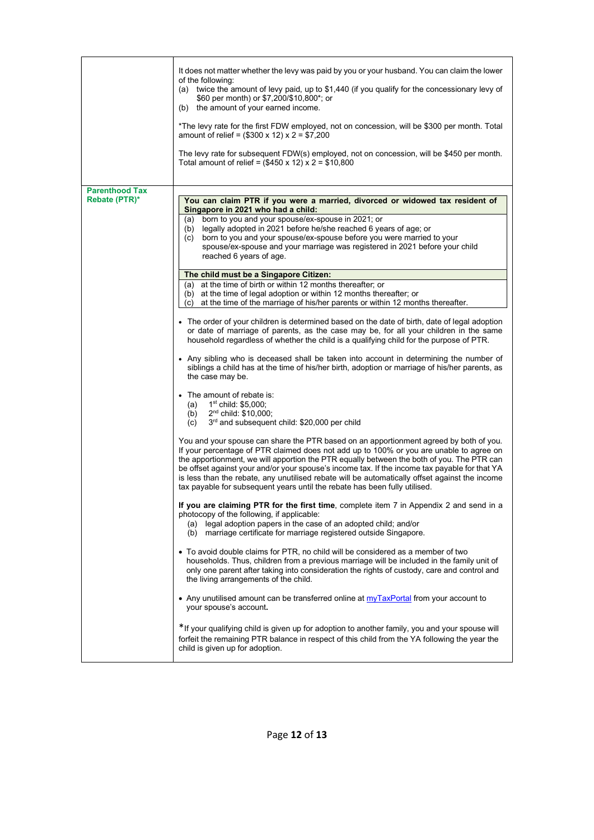|                                        | It does not matter whether the levy was paid by you or your husband. You can claim the lower<br>of the following:<br>(a) twice the amount of levy paid, up to \$1,440 (if you qualify for the concessionary levy of<br>\$60 per month) or \$7,200/\$10,800*; or<br>(b) the amount of your earned income.<br>*The levy rate for the first FDW employed, not on concession, will be \$300 per month. Total<br>amount of relief = $(\$300 \times 12) \times 2 = \$7,200$<br>The levy rate for subsequent FDW(s) employed, not on concession, will be \$450 per month.<br>Total amount of relief = $(\$450 \times 12) \times 2 = \$10,800$                                                                                                                                                                                                                                                             |
|----------------------------------------|----------------------------------------------------------------------------------------------------------------------------------------------------------------------------------------------------------------------------------------------------------------------------------------------------------------------------------------------------------------------------------------------------------------------------------------------------------------------------------------------------------------------------------------------------------------------------------------------------------------------------------------------------------------------------------------------------------------------------------------------------------------------------------------------------------------------------------------------------------------------------------------------------|
|                                        |                                                                                                                                                                                                                                                                                                                                                                                                                                                                                                                                                                                                                                                                                                                                                                                                                                                                                                    |
| <b>Parenthood Tax</b><br>Rebate (PTR)* | You can claim PTR if you were a married, divorced or widowed tax resident of<br>Singapore in 2021 who had a child:<br>born to you and your spouse/ex-spouse in 2021; or<br>(a)<br>legally adopted in 2021 before he/she reached 6 years of age; or<br>(b)<br>born to you and your spouse/ex-spouse before you were married to your<br>(c)<br>spouse/ex-spouse and your marriage was registered in 2021 before your child<br>reached 6 years of age.<br>The child must be a Singapore Citizen:<br>at the time of birth or within 12 months thereafter; or<br>(a)<br>(b) at the time of legal adoption or within 12 months thereafter; or<br>at the time of the marriage of his/her parents or within 12 months thereafter.<br>(c)                                                                                                                                                                   |
|                                        | • The order of your children is determined based on the date of birth, date of legal adoption<br>or date of marriage of parents, as the case may be, for all your children in the same<br>household regardless of whether the child is a qualifying child for the purpose of PTR.<br>• Any sibling who is deceased shall be taken into account in determining the number of<br>siblings a child has at the time of his/her birth, adoption or marriage of his/her parents, as<br>the case may be.                                                                                                                                                                                                                                                                                                                                                                                                  |
|                                        | • The amount of rebate is:<br>$1st$ child: \$5,000;<br>(a)<br>2 <sup>nd</sup> child: \$10,000;<br>(b)<br>3rd and subsequent child: \$20,000 per child<br>(c)<br>You and your spouse can share the PTR based on an apportionment agreed by both of you.<br>If your percentage of PTR claimed does not add up to 100% or you are unable to agree on<br>the apportionment, we will apportion the PTR equally between the both of you. The PTR can                                                                                                                                                                                                                                                                                                                                                                                                                                                     |
|                                        | be offset against your and/or your spouse's income tax. If the income tax payable for that YA<br>is less than the rebate, any unutilised rebate will be automatically offset against the income<br>tax payable for subsequent years until the rebate has been fully utilised.<br>If you are claiming PTR for the first time, complete item 7 in Appendix 2 and send in a<br>photocopy of the following, if applicable:<br>legal adoption papers in the case of an adopted child; and/or<br>(a)<br>marriage certificate for marriage registered outside Singapore.<br>(b)<br>• To avoid double claims for PTR, no child will be considered as a member of two<br>households. Thus, children from a previous marriage will be included in the family unit of<br>only one parent after taking into consideration the rights of custody, care and control and<br>the living arrangements of the child. |
|                                        | • Any unutilised amount can be transferred online at $\frac{myTaxPartial}{from your account}$ to<br>your spouse's account.<br>*If your qualifying child is given up for adoption to another family, you and your spouse will<br>forfeit the remaining PTR balance in respect of this child from the YA following the year the<br>child is given up for adoption.                                                                                                                                                                                                                                                                                                                                                                                                                                                                                                                                   |